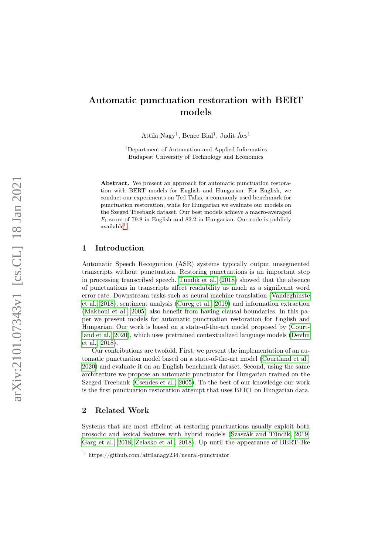# Automatic punctuation restoration with BERT models

Attila Nagy<sup>1</sup>, Bence Bial<sup>1</sup>, Judit Ács<sup>1</sup>

<sup>1</sup>Department of Automation and Applied Informatics Budapest University of Technology and Economics

Abstract. We present an approach for automatic punctuation restoration with BERT models for English and Hungarian. For English, we conduct our experiments on Ted Talks, a commonly used benchmark for punctuation restoration, while for Hungarian we evaluate our models on the Szeged Treebank dataset. Our best models achieve a macro-averaged  $F_1$ -score of 79.8 in English and 82.2 in Hungarian. Our code is publicly  $a$ vailable<sup>[1](#page-0-0)</sup>.

# 1 Introduction

Automatic Speech Recognition (ASR) systems typically output unsegmented transcripts without punctuation. Restoring punctuations is an important step in processing transcribed speech. [Tündik et al.](#page-10-0) [\(2018\)](#page-10-0) showed that the absence of punctuations in transcripts affect readability as much as a significant word error rate. Downstream tasks such as neural machine translation [\(Vandeghinste](#page-10-1) [et al., 2018\)](#page-10-1), sentiment analysis [\(Cureg et al., 2019\)](#page-9-0) and information extraction [\(Makhoul et al., 2005\)](#page-9-1) also benefit from having clausal boundaries. In this paper we present models for automatic punctuation restoration for English and Hungarian. Our work is based on a state-of-the-art model proposed by [\(Court](#page-8-0)[land et al., 2020\)](#page-8-0), which uses pretrained contextualized language models [\(Devlin](#page-9-2) [et al., 2018\)](#page-9-2).

Our contributions are twofold. First, we present the implementation of an automatic punctuation model based on a state-of-the-art model [\(Courtland et al.,](#page-8-0) [2020\)](#page-8-0) and evaluate it on an English benchmark dataset. Second, using the same architecture we propose an automatic punctuator for Hungarian trained on the Szeged Treebank [\(Csendes et al., 2005\)](#page-9-3). To the best of our knowledge our work is the first punctuation restoration attempt that uses BERT on Hungarian data.

# 2 Related Work

Systems that are most efficient at restoring punctuations usually exploit both prosodic and lexical features with hybrid models [\(Szaszák and Tündik, 2019;](#page-9-4) [Garg et al., 2018;](#page-9-5) [Żelasko et al., 2018\)](#page-10-2). Up until the appearance of BERT-like

<span id="page-0-0"></span><sup>1</sup> https://github.com/attilanagy234/neural-punctuator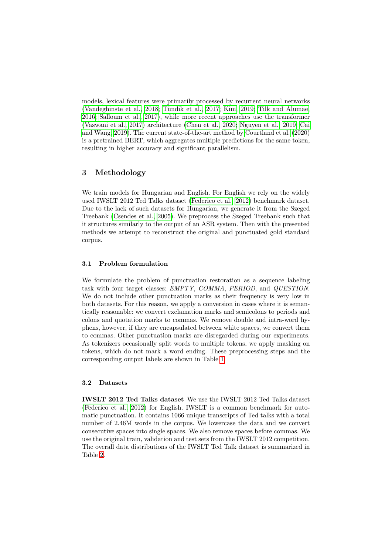models, lexical features were primarily processed by recurrent neural networks [\(Vandeghinste et al., 2018;](#page-10-1) [Tündik et al., 2017;](#page-10-3) [Kim, 2019;](#page-9-6) [Tilk and Alumäe,](#page-9-7) [2016;](#page-9-7) [Salloum et al., 2017\)](#page-9-8), while more recent approaches use the transformer [\(Vaswani et al., 2017\)](#page-10-4) architecture [\(Chen et al., 2020;](#page-8-1) [Nguyen et al., 2019;](#page-9-9) [Cai](#page-8-2) [and Wang, 2019\)](#page-8-2). The current state-of-the-art method by [Courtland et al.](#page-8-0) [\(2020\)](#page-8-0) is a pretrained BERT, which aggregates multiple predictions for the same token, resulting in higher accuracy and significant parallelism.

# 3 Methodology

We train models for Hungarian and English. For English we rely on the widely used IWSLT 2012 Ted Talks dataset [\(Federico et al., 2012\)](#page-9-10) benchmark dataset. Due to the lack of such datasets for Hungarian, we generate it from the Szeged Treebank [\(Csendes et al., 2005\)](#page-9-3). We preprocess the Szeged Treebank such that it structures similarly to the output of an ASR system. Then with the presented methods we attempt to reconstruct the original and punctuated gold standard corpus.

### 3.1 Problem formulation

We formulate the problem of punctuation restoration as a sequence labeling task with four target classes: EMPTY, COMMA, PERIOD, and QUESTION. We do not include other punctuation marks as their frequency is very low in both datasets. For this reason, we apply a conversion in cases where it is semantically reasonable: we convert exclamation marks and semicolons to periods and colons and quotation marks to commas. We remove double and intra-word hyphens, however, if they are encapsulated between white spaces, we convert them to commas. Other punctuation marks are disregarded during our experiments. As tokenizers occasionally split words to multiple tokens, we apply masking on tokens, which do not mark a word ending. These preprocessing steps and the corresponding output labels are shown in Table [1.](#page-2-0)

### 3.2 Datasets

IWSLT 2012 Ted Talks dataset We use the IWSLT 2012 Ted Talks dataset [\(Federico et al., 2012\)](#page-9-10) for English. IWSLT is a common benchmark for automatic punctuation. It contains 1066 unique transcripts of Ted talks with a total number of 2.46M words in the corpus. We lowercase the data and we convert consecutive spaces into single spaces. We also remove spaces before commas. We use the original train, validation and test sets from the IWSLT 2012 competition. The overall data distributions of the IWSLT Ted Talk dataset is summarized in Table [2.](#page-2-1)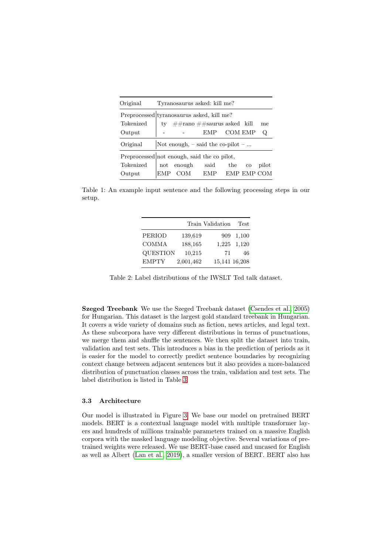<span id="page-2-0"></span>

| Original                                          | Tyranosaurus asked: kill me? |                                           |                               |             |             |       |  |  |  |  |  |
|---------------------------------------------------|------------------------------|-------------------------------------------|-------------------------------|-------------|-------------|-------|--|--|--|--|--|
|                                                   |                              | Preprocessed tyranosaurus asked, kill me? |                               |             |             |       |  |  |  |  |  |
| Tokenized                                         |                              |                                           | ty ##rano ##saurus asked kill |             |             | me    |  |  |  |  |  |
| Output                                            |                              |                                           | EMP COM EMP                   |             | Q           |       |  |  |  |  |  |
| Not enough, $-$ said the co-pilot $-$<br>Original |                              |                                           |                               |             |             |       |  |  |  |  |  |
| Preprocessed not enough, said the co pilot,       |                              |                                           |                               |             |             |       |  |  |  |  |  |
| Tokenized                                         |                              |                                           | not enough said the           |             | $_{\rm co}$ | pilot |  |  |  |  |  |
| Output                                            | EMP                          | COM                                       | EMP                           | EMP EMP COM |             |       |  |  |  |  |  |

<span id="page-2-1"></span>Table 1: An example input sentence and the following processing steps in our setup.

|                 |           | Train Validation | <b>Test</b>   |
|-----------------|-----------|------------------|---------------|
| <b>PERIOD</b>   | 139,619   | 909              | 1,100         |
| <b>COMMA</b>    | 188,165   |                  | 1,225 1,120   |
| <b>QUESTION</b> | 10,215    | 71               | 46            |
| <b>EMPTY</b>    | 2,001,462 |                  | 15,141 16,208 |

Table 2: Label distributions of the IWSLT Ted talk dataset.

Szeged Treebank We use the Szeged Treebank dataset [\(Csendes et al., 2005\)](#page-9-3) for Hungarian. This dataset is the largest gold standard treebank in Hungarian. It covers a wide variety of domains such as fiction, news articles, and legal text. As these subcorpora have very different distributions in terms of punctuations, we merge them and shuffle the sentences. We then split the dataset into train, validation and test sets. This introduces a bias in the prediction of periods as it is easier for the model to correctly predict sentence boundaries by recognizing context change between adjacent sentences but it also provides a more-balanced distribution of punctuation classes across the train, validation and test sets. The label distribution is listed in Table [3.](#page-3-0)

#### 3.3 Architecture

Our model is illustrated in Figure [3.](#page-4-0) We base our model on pretrained BERT models. BERT is a contextual language model with multiple transformer layers and hundreds of millions trainable parameters trained on a massive English corpora with the masked language modeling objective. Several variations of pretrained weights were released. We use BERT-base cased and uncased for English as well as Albert [\(Lan et al., 2019\)](#page-9-11), a smaller version of BERT. BERT also has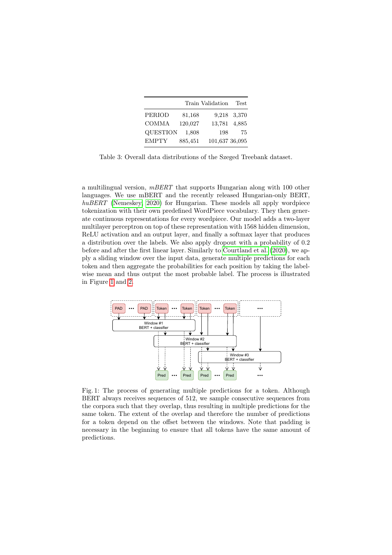<span id="page-3-0"></span>

|                 |         | Train Validation | <b>Test</b>  |
|-----------------|---------|------------------|--------------|
| <b>PERIOD</b>   | 81,168  |                  | 9,218 3,370  |
| <b>COMMA</b>    | 120,027 |                  | 13,781 4,885 |
| <b>QUESTION</b> | 1,808   | 198              | 75           |
| <b>EMPTY</b>    | 885,451 | 101,637 36,095   |              |

Table 3: Overall data distributions of the Szeged Treebank dataset.

a multilingual version,  $mBERT$  that supports Hungarian along with 100 other languages. We use mBERT and the recently released Hungarian-only BERT, huBERT [\(Nemeskey, 2020\)](#page-9-12) for Hungarian. These models all apply wordpiece tokenization with their own predefined WordPiece vocabulary. They then generate continuous representations for every wordpiece. Our model adds a two-layer multilayer perceptron on top of these representation with 1568 hidden dimension, ReLU activation and an output layer, and finally a softmax layer that produces a distribution over the labels. We also apply dropout with a probability of 0.2 before and after the first linear layer. Similarly to [Courtland et al.](#page-8-0) [\(2020\)](#page-8-0), we apply a sliding window over the input data, generate multiple predictions for each token and then aggregate the probabilities for each position by taking the labelwise mean and thus output the most probable label. The process is illustrated in Figure [1](#page-3-1) and [2.](#page-4-1)

<span id="page-3-1"></span>

Fig. 1: The process of generating multiple predictions for a token. Although BERT always receives sequences of 512, we sample consecutive sequences from the corpora such that they overlap, thus resulting in multiple predictions for the same token. The extent of the overlap and therefore the number of predictions for a token depend on the offset between the windows. Note that padding is necessary in the beginning to ensure that all tokens have the same amount of predictions.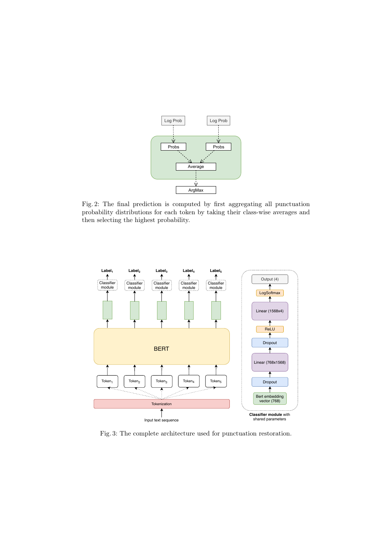<span id="page-4-1"></span>

Fig. 2: The final prediction is computed by first aggregating all punctuation probability distributions for each token by taking their class-wise averages and then selecting the highest probability.

<span id="page-4-0"></span>

Fig. 3: The complete architecture used for punctuation restoration.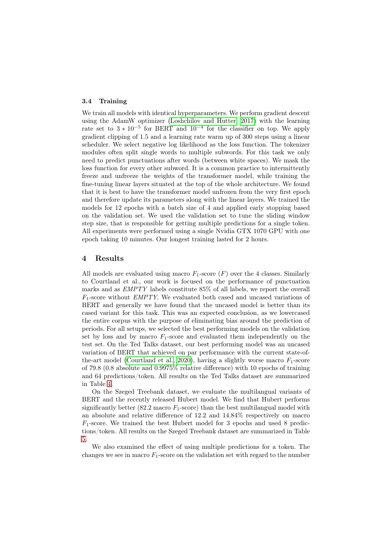#### 3.4 Training

We train all models with identical hyperparameters. We perform gradient descent using the AdamW optimizer [\(Loshchilov and Hutter, 2017\)](#page-9-13) with the learning rate set to  $3 * 10^{-5}$  for BERT and  $10^{-4}$  for the classifier on top. We apply gradient clipping of 1.5 and a learning rate warm up of 300 steps using a linear scheduler. We select negative log likelihood as the loss function. The tokenizer modules often split single words to multiple subwords. For this task we only need to predict punctuations after words (between white spaces). We mask the loss function for every other subword. It is a common practice to intermittently freeze and unfreeze the weights of the transformer model, while training the fine-tuning linear layers situated at the top of the whole architecture. We found that it is best to have the transformer model unfrozen from the very first epoch and therefore update its parameters along with the linear layers. We trained the models for 12 epochs with a batch size of 4 and applied early stopping based on the validation set. We used the validation set to tune the sliding window step size, that is responsible for getting multiple predictions for a single token. All experiments were performed using a single Nvidia GTX 1070 GPU with one epoch taking 10 minutes. Our longest training lasted for 2 hours.

### 4 Results

All models are evaluated using macro  $F_1$ -score  $(F)$  over the 4 classes. Similarly to Courtland et al., our work is focused on the performance of punctuation marks and as EMPTY labels constitute 85% of all labels, we report the overall  $F_1$ -score without *EMPTY*. We evaluated both cased and uncased variations of BERT and generally we have found that the uncased model is better than its cased variant for this task. This was an expected conclusion, as we lowercased the entire corpus with the purpose of eliminating bias around the prediction of periods. For all setups, we selected the best performing models on the validation set by loss and by macro  $F_1$ -score and evaluated them independently on the test set. On the Ted Talks dataset, our best performing model was an uncased variation of BERT that achieved on par performance with the current state-of-the-art model [\(Courtland et al., 2020\)](#page-8-0), having a slightly worse macro  $F_1$ -score of 79.8 (0.8 absolute and 0.9975% relative difference) with 10 epochs of training and 64 predictions/token. All results on the Ted Talks dataset are summarized in Table [4.](#page-6-0)

On the Szeged Treebank dataset, we evaluate the multilangual variants of BERT and the recently released Hubert model. We find that Hubert performs significantly better (82.2 macro  $F_1$ -score) than the best multilangual model with an absolute and relative difference of 12.2 and 14.84% respectively on macro  $F_1$ -score. We trained the best Hubert model for 3 epochs and used 8 predictions/token. All results on the Szeged Treebank dataset are summarized in Table [5.](#page-7-0)

We also examined the effect of using multiple predictions for a token. The changes we see in macro  $F_1$ -score on the validation set with regard to the number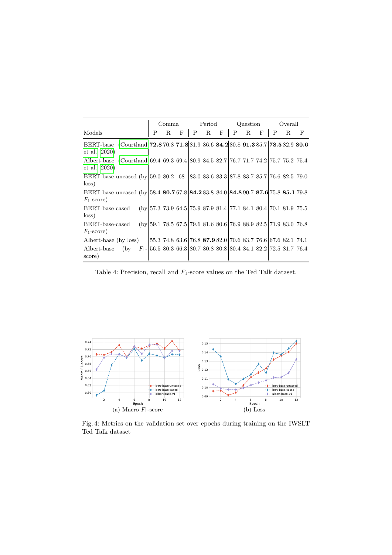<span id="page-6-0"></span>

|                                                                                                     | Comma                                                               |   |   | Period |         |  | Question    |   |              | Overall |   |                                                             |
|-----------------------------------------------------------------------------------------------------|---------------------------------------------------------------------|---|---|--------|---------|--|-------------|---|--------------|---------|---|-------------------------------------------------------------|
| Models                                                                                              | P                                                                   | R | F |        | $P$ R F |  | $\mathbf P$ | R | $\mathbf{F}$ | P       | R | F                                                           |
| BERT-base (Courtland 72.8 70.8 71.8 81.9 86.6 84.2 80.8 91.3 85.7 78.5 82.9 80.6<br>et al., 2020)   |                                                                     |   |   |        |         |  |             |   |              |         |   |                                                             |
| Albert-base (Courtland 69.4 69.3 69.4 80.9 84.5 82.7 76.7 71.7 74.2 75.7 75.2 75.4<br>et al., 2020) |                                                                     |   |   |        |         |  |             |   |              |         |   |                                                             |
| BERT-base-uncased (by 59.0 80.2 68 83.0 83.6 83.3 87.8 83.7 85.7 76.6 82.5 79.0<br>loss)            |                                                                     |   |   |        |         |  |             |   |              |         |   |                                                             |
| BERT-base-uncased (by 58.4 80.7 67.8 84.2 83.8 84.0 84.8 90.7 87.6 75.8 85.1 79.8<br>$F_1$ -score)  |                                                                     |   |   |        |         |  |             |   |              |         |   |                                                             |
| BERT-base-cased<br>$\cos$ )                                                                         | $(by 57.373.964.5 75.987.981.4 77.184.180.4 70.181.975.5$           |   |   |        |         |  |             |   |              |         |   |                                                             |
| BERT-base-cased<br>$F_1$ -score)                                                                    | $(by 59.178.567.5 79.681.680.6 76.988.982.5 71.983.076.8$           |   |   |        |         |  |             |   |              |         |   |                                                             |
| Albert-base (by loss)                                                                               |                                                                     |   |   |        |         |  |             |   |              |         |   | 55.3 74.8 63.6 76.8 87.9 82.0 70.6 83.7 76.6 67.6 82.1 74.1 |
| Albert-base<br>(by<br>score)                                                                        | $F_1$ - 56.5 80.3 66.3 80.7 80.8 80.8 80.4 84.1 82.2 72.5 81.7 76.4 |   |   |        |         |  |             |   |              |         |   |                                                             |

Table 4: Precision, recall and  $F_1$ -score values on the Ted Talk dataset.



Fig. 4: Metrics on the validation set over epochs during training on the IWSLT Ted Talk dataset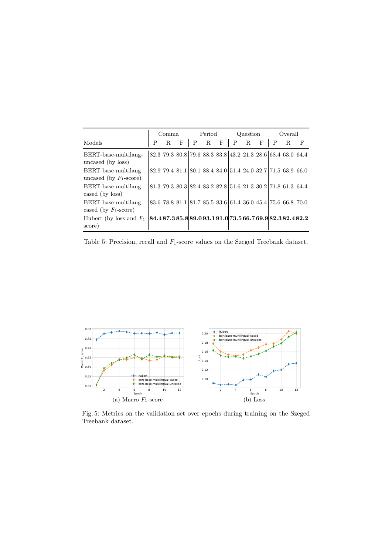<span id="page-7-0"></span>

|                                                                                               | Comma |    | Period |   |   | Question |   |    | Overall |   |                                                             |   |
|-----------------------------------------------------------------------------------------------|-------|----|--------|---|---|----------|---|----|---------|---|-------------------------------------------------------------|---|
| Models                                                                                        | P     | R. | F      | P | R | F        | P | R. | F       | P | R.                                                          | F |
| BERT-base-multilang-<br>uncased (by loss)                                                     |       |    |        |   |   |          |   |    |         |   | 82.3 79.3 80.8 79.6 88.3 83.8 43.2 21.3 28.6 68.4 63.0 64.4 |   |
| BERT-base-multilang-<br>uncased (by $F_1$ -score)                                             |       |    |        |   |   |          |   |    |         |   | 82.9 79.4 81.1 80.1 88.4 84.0 51.4 24.0 32.7 71.5 63.9 66.0 |   |
| BERT-base-multilang-<br>cased (by loss)                                                       |       |    |        |   |   |          |   |    |         |   | 81.3 79.3 80.3 82.4 83.2 82.8 51.6 21.3 30.2 71.8 61.3 64.4 |   |
| BERT-base-multilang-<br>cased (by $F_1$ -score)                                               |       |    |        |   |   |          |   |    |         |   | 83.6 78.8 81.1 81.7 85.5 83.6 61.4 36.0 45.4 75.6 66.8 70.0 |   |
| Hubert (by loss and $F_1$ - <b>84.487.385.889.093.191.073.566.769.982.382.482.2</b><br>score) |       |    |        |   |   |          |   |    |         |   |                                                             |   |

Table 5: Precision, recall and  $F_1$ -score values on the Szeged Treebank dataset.



Fig. 5: Metrics on the validation set over epochs during training on the Szeged Treebank dataset.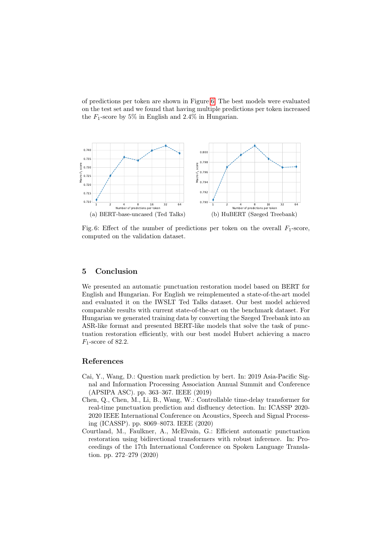of predictions per token are shown in Figure [6.](#page-8-3) The best models were evaluated on the test set and we found that having multiple predictions per token increased the  $F_1$ -score by 5% in English and 2.4% in Hungarian.

<span id="page-8-3"></span>

Fig. 6: Effect of the number of predictions per token on the overall  $F_1$ -score, computed on the validation dataset.

## 5 Conclusion

We presented an automatic punctuation restoration model based on BERT for English and Hungarian. For English we reimplemented a state-of-the-art model and evaluated it on the IWSLT Ted Talks dataset. Our best model achieved comparable results with current state-of-the-art on the benchmark dataset. For Hungarian we generated training data by converting the Szeged Treebank into an ASR-like format and presented BERT-like models that solve the task of punctuation restoration efficiently, with our best model Hubert achieving a macro  $F_1$ -score of 82.2.

### References

- <span id="page-8-2"></span>Cai, Y., Wang, D.: Question mark prediction by bert. In: 2019 Asia-Pacific Signal and Information Processing Association Annual Summit and Conference (APSIPA ASC). pp. 363–367. IEEE (2019)
- <span id="page-8-1"></span>Chen, Q., Chen, M., Li, B., Wang, W.: Controllable time-delay transformer for real-time punctuation prediction and disfluency detection. In: ICASSP 2020- 2020 IEEE International Conference on Acoustics, Speech and Signal Processing (ICASSP). pp. 8069–8073. IEEE (2020)
- <span id="page-8-0"></span>Courtland, M., Faulkner, A., McElvain, G.: Efficient automatic punctuation restoration using bidirectional transformers with robust inference. In: Proceedings of the 17th International Conference on Spoken Language Translation. pp. 272–279 (2020)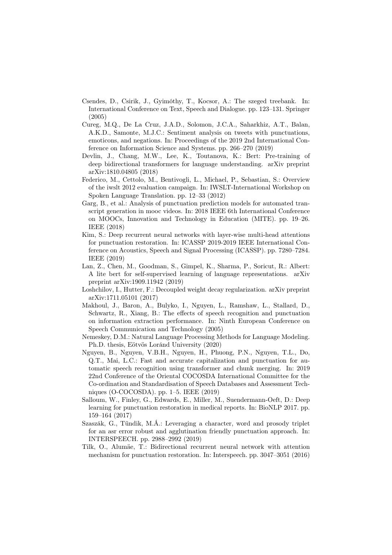- <span id="page-9-3"></span>Csendes, D., Csirik, J., Gyimóthy, T., Kocsor, A.: The szeged treebank. In: International Conference on Text, Speech and Dialogue. pp. 123–131. Springer (2005)
- <span id="page-9-0"></span>Cureg, M.Q., De La Cruz, J.A.D., Solomon, J.C.A., Saharkhiz, A.T., Balan, A.K.D., Samonte, M.J.C.: Sentiment analysis on tweets with punctuations, emoticons, and negations. In: Proceedings of the 2019 2nd International Conference on Information Science and Systems. pp. 266–270 (2019)
- <span id="page-9-2"></span>Devlin, J., Chang, M.W., Lee, K., Toutanova, K.: Bert: Pre-training of deep bidirectional transformers for language understanding. arXiv preprint arXiv:1810.04805 (2018)
- <span id="page-9-10"></span>Federico, M., Cettolo, M., Bentivogli, L., Michael, P., Sebastian, S.: Overview of the iwslt 2012 evaluation campaign. In: IWSLT-International Workshop on Spoken Language Translation. pp. 12–33 (2012)
- <span id="page-9-5"></span>Garg, B., et al.: Analysis of punctuation prediction models for automated transcript generation in mooc videos. In: 2018 IEEE 6th International Conference on MOOCs, Innovation and Technology in Education (MITE). pp. 19–26. IEEE (2018)
- <span id="page-9-6"></span>Kim, S.: Deep recurrent neural networks with layer-wise multi-head attentions for punctuation restoration. In: ICASSP 2019-2019 IEEE International Conference on Acoustics, Speech and Signal Processing (ICASSP). pp. 7280–7284. IEEE (2019)
- <span id="page-9-11"></span>Lan, Z., Chen, M., Goodman, S., Gimpel, K., Sharma, P., Soricut, R.: Albert: A lite bert for self-supervised learning of language representations. arXiv preprint arXiv:1909.11942 (2019)
- <span id="page-9-13"></span>Loshchilov, I., Hutter, F.: Decoupled weight decay regularization. arXiv preprint arXiv:1711.05101 (2017)
- <span id="page-9-1"></span>Makhoul, J., Baron, A., Bulyko, I., Nguyen, L., Ramshaw, L., Stallard, D., Schwartz, R., Xiang, B.: The effects of speech recognition and punctuation on information extraction performance. In: Ninth European Conference on Speech Communication and Technology (2005)
- <span id="page-9-12"></span>Nemeskey, D.M.: Natural Language Processing Methods for Language Modeling. Ph.D. thesis, Eötvös Loránd University (2020)
- <span id="page-9-9"></span>Nguyen, B., Nguyen, V.B.H., Nguyen, H., Phuong, P.N., Nguyen, T.L., Do, Q.T., Mai, L.C.: Fast and accurate capitalization and punctuation for automatic speech recognition using transformer and chunk merging. In: 2019 22nd Conference of the Oriental COCOSDA International Committee for the Co-ordination and Standardisation of Speech Databases and Assessment Techniques (O-COCOSDA). pp. 1–5. IEEE (2019)
- <span id="page-9-8"></span>Salloum, W., Finley, G., Edwards, E., Miller, M., Suendermann-Oeft, D.: Deep learning for punctuation restoration in medical reports. In: BioNLP 2017. pp. 159–164 (2017)
- <span id="page-9-4"></span>Szaszák, G., Tündik, M.Á.: Leveraging a character, word and prosody triplet for an asr error robust and agglutination friendly punctuation approach. In: INTERSPEECH. pp. 2988–2992 (2019)
- <span id="page-9-7"></span>Tilk, O., Alumäe, T.: Bidirectional recurrent neural network with attention mechanism for punctuation restoration. In: Interspeech. pp. 3047–3051 (2016)